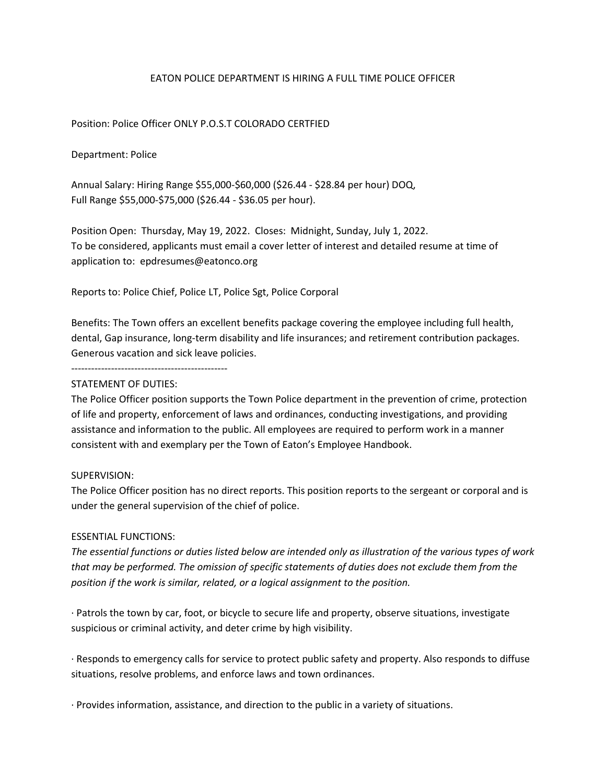# EATON POLICE DEPARTMENT IS HIRING A FULL TIME POLICE OFFICER

### Position: Police Officer ONLY P.O.S.T COLORADO CERTFIED

#### Department: Police

Annual Salary: Hiring Range \$55,000-\$60,000 (\$26.44 - \$28.84 per hour) DOQ, Full Range \$55,000-\$75,000 (\$26.44 - \$36.05 per hour).

Position Open: Thursday, May 19, 2022. Closes: Midnight, Sunday, July 1, 2022. To be considered, applicants must email a cover letter of interest and detailed resume at time of application to: epdresumes@eatonco.org

Reports to: Police Chief, Police LT, Police Sgt, Police Corporal

Benefits: The Town offers an excellent benefits package covering the employee including full health, dental, Gap insurance, long-term disability and life insurances; and retirement contribution packages. Generous vacation and sick leave policies.

-----------------------------------------------

#### STATEMENT OF DUTIES:

The Police Officer position supports the Town Police department in the prevention of crime, protection of life and property, enforcement of laws and ordinances, conducting investigations, and providing assistance and information to the public. All employees are required to perform work in a manner consistent with and exemplary per the Town of Eaton's Employee Handbook.

#### SUPERVISION:

The Police Officer position has no direct reports. This position reports to the sergeant or corporal and is under the general supervision of the chief of police.

#### ESSENTIAL FUNCTIONS:

*The essential functions or duties listed below are intended only as illustration of the various types of work that may be performed. The omission of specific statements of duties does not exclude them from the position if the work is similar, related, or a logical assignment to the position.*

· Patrols the town by car, foot, or bicycle to secure life and property, observe situations, investigate suspicious or criminal activity, and deter crime by high visibility.

· Responds to emergency calls for service to protect public safety and property. Also responds to diffuse situations, resolve problems, and enforce laws and town ordinances.

· Provides information, assistance, and direction to the public in a variety of situations.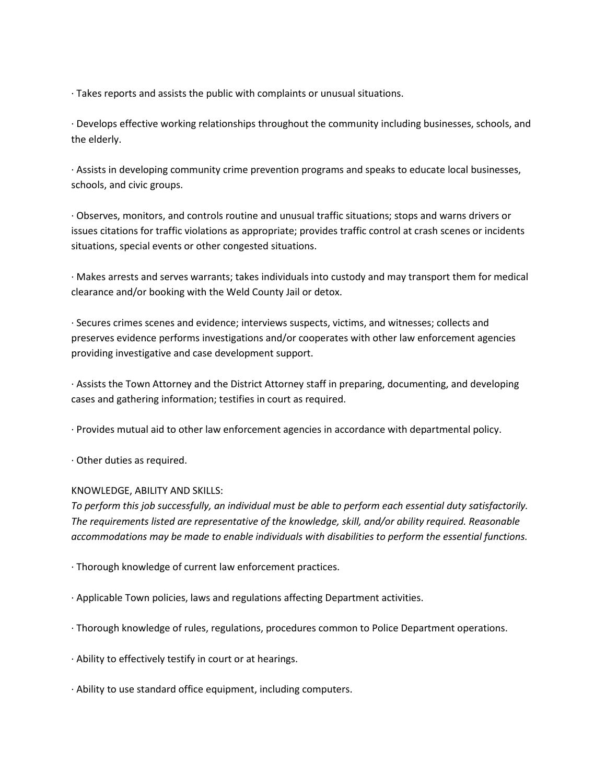· Takes reports and assists the public with complaints or unusual situations.

· Develops effective working relationships throughout the community including businesses, schools, and the elderly.

· Assists in developing community crime prevention programs and speaks to educate local businesses, schools, and civic groups.

· Observes, monitors, and controls routine and unusual traffic situations; stops and warns drivers or issues citations for traffic violations as appropriate; provides traffic control at crash scenes or incidents situations, special events or other congested situations.

· Makes arrests and serves warrants; takes individuals into custody and may transport them for medical clearance and/or booking with the Weld County Jail or detox.

· Secures crimes scenes and evidence; interviews suspects, victims, and witnesses; collects and preserves evidence performs investigations and/or cooperates with other law enforcement agencies providing investigative and case development support.

· Assists the Town Attorney and the District Attorney staff in preparing, documenting, and developing cases and gathering information; testifies in court as required.

· Provides mutual aid to other law enforcement agencies in accordance with departmental policy.

· Other duties as required.

# KNOWLEDGE, ABILITY AND SKILLS:

*To perform this job successfully, an individual must be able to perform each essential duty satisfactorily. The requirements listed are representative of the knowledge, skill, and/or ability required. Reasonable accommodations may be made to enable individuals with disabilities to perform the essential functions.*

· Thorough knowledge of current law enforcement practices.

· Applicable Town policies, laws and regulations affecting Department activities.

· Thorough knowledge of rules, regulations, procedures common to Police Department operations.

· Ability to effectively testify in court or at hearings.

· Ability to use standard office equipment, including computers.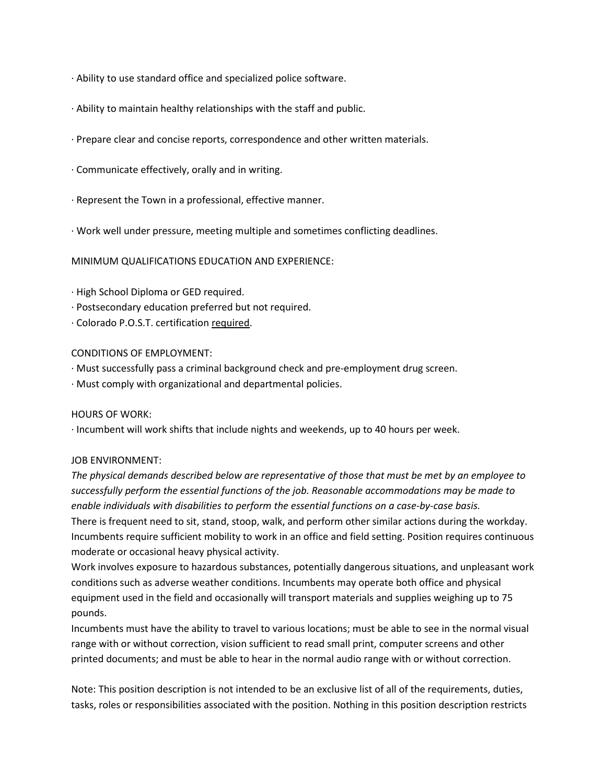- · Ability to use standard office and specialized police software.
- · Ability to maintain healthy relationships with the staff and public.
- · Prepare clear and concise reports, correspondence and other written materials.
- · Communicate effectively, orally and in writing.
- · Represent the Town in a professional, effective manner.
- · Work well under pressure, meeting multiple and sometimes conflicting deadlines.

MINIMUM QUALIFICATIONS EDUCATION AND EXPERIENCE:

- · High School Diploma or GED required.
- · Postsecondary education preferred but not required.
- · Colorado P.O.S.T. certification required.

# CONDITIONS OF EMPLOYMENT:

- · Must successfully pass a criminal background check and pre-employment drug screen.
- · Must comply with organizational and departmental policies.

# HOURS OF WORK:

· Incumbent will work shifts that include nights and weekends, up to 40 hours per week.

# JOB ENVIRONMENT:

*The physical demands described below are representative of those that must be met by an employee to successfully perform the essential functions of the job. Reasonable accommodations may be made to enable individuals with disabilities to perform the essential functions on a case-by-case basis.* There is frequent need to sit, stand, stoop, walk, and perform other similar actions during the workday. Incumbents require sufficient mobility to work in an office and field setting. Position requires continuous moderate or occasional heavy physical activity.

Work involves exposure to hazardous substances, potentially dangerous situations, and unpleasant work conditions such as adverse weather conditions. Incumbents may operate both office and physical equipment used in the field and occasionally will transport materials and supplies weighing up to 75 pounds.

Incumbents must have the ability to travel to various locations; must be able to see in the normal visual range with or without correction, vision sufficient to read small print, computer screens and other printed documents; and must be able to hear in the normal audio range with or without correction.

Note: This position description is not intended to be an exclusive list of all of the requirements, duties, tasks, roles or responsibilities associated with the position. Nothing in this position description restricts